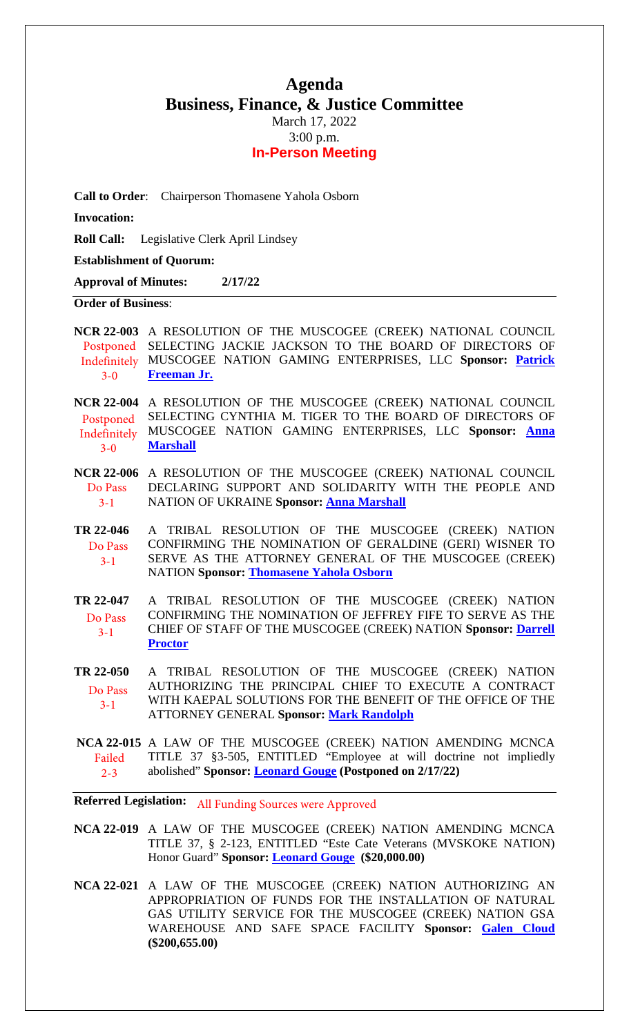# **Agenda Business, Finance, & Justice Committee** March 17, 2022

3:00 p.m.

### **In-Person Meeting**

**Call to Order**: Chairperson Thomasene Yahola Osborn

**Invocation:** 

**Roll Call:** Legislative Clerk April Lindsey

### **Establishment of Quorum:**

**Approval of Minutes: 2/17/22** 

### **Order of Business**:

**NCR 22-003** A RESOLUTION OF THE MUSCOGEE (CREEK) NATIONAL COUNCIL Postponed SELECTING JACKIE JACKSON TO THE BOARD OF DIRECTORS OF MUSCOGEE NATION GAMING ENTERPRISES, LLC **Sponsor: [Patrick](mailto:pfreeman@mcn-nsn.gov)**  Indefinitely **[Freeman Jr.](mailto:pfreeman@mcn-nsn.gov)** 3-0

**NCR 22-004** A RESOLUTION OF THE MUSCOGEE (CREEK) NATIONAL COUNCIL SELECTING CYNTHIA M. TIGER TO THE BOARD OF DIRECTORS OF MUSCOGEE NATION GAMING ENTERPRISES, LLC **Sponsor: [Anna](mailto:amarshall@mcn-nsn.gov)  [Marshall](mailto:amarshall@mcn-nsn.gov)** Postponed Indefinitely 3-0

**NCR 22-006** A RESOLUTION OF THE MUSCOGEE (CREEK) NATIONAL COUNCIL DECLARING SUPPORT AND SOLIDARITY WITH THE PEOPLE AND NATION OF UKRAINE **Sponsor: [Anna Marshall](mailto:amarshall@mcn-nsn.gov)** Do Pass  $3 - 1$ 

**TR 22-046** A TRIBAL RESOLUTION OF THE MUSCOGEE (CREEK) NATION CONFIRMING THE NOMINATION OF GERALDINE (GERI) WISNER TO SERVE AS THE ATTORNEY GENERAL OF THE MUSCOGEE (CREEK) NATION **Sponsor: [Thomasene Yahola Osborn](mailto:tosborn@mcn-nsn.gov)** Do Pass 3-1

**TR 22-047** A TRIBAL RESOLUTION OF THE MUSCOGEE (CREEK) NATION CONFIRMING THE NOMINATION OF JEFFREY FIFE TO SERVE AS THE CHIEF OF STAFF OF THE MUSCOGEE (CREEK) NATION **Sponsor: [Darrell](mailto:dproctor@mcn-nsn.gov)  [Proctor](mailto:dproctor@mcn-nsn.gov)** Do Pass 3-1

**TR 22-050** A TRIBAL RESOLUTION OF THE MUSCOGEE (CREEK) NATION AUTHORIZING THE PRINCIPAL CHIEF TO EXECUTE A CONTRACT WITH KAEPAL SOLUTIONS FOR THE BENEFIT OF THE OFFICE OF THE ATTORNEY GENERAL **Sponsor: [Mark Randolph](mailto:mrandolph@mcn-nsn.gov)** Do Pass 3-1

**NCA 22-015** A LAW OF THE MUSCOGEE (CREEK) NATION AMENDING MCNCA TITLE 37 §3-505, ENTITLED "Employee at will doctrine not impliedly abolished" **Sponsor: [Leonard Gouge](mailto:lgouge@mcn-nsn.gov) (Postponed on 2/17/22)**  Failed 2-3

**Referred Legislation:** All Funding Sources were Approved

**NCA 22-019** A LAW OF THE MUSCOGEE (CREEK) NATION AMENDING MCNCA TITLE 37, § 2-123, ENTITLED "Este Cate Veterans (MVSKOKE NATION) Honor Guard" **Sponsor: [Leonard Gouge](mailto:lgouge@mcn-nsn.gov) (\$20,000.00)** 

**NCA 22-021** A LAW OF THE MUSCOGEE (CREEK) NATION AUTHORIZING AN APPROPRIATION OF FUNDS FOR THE INSTALLATION OF NATURAL GAS UTILITY SERVICE FOR THE MUSCOGEE (CREEK) NATION GSA WAREHOUSE AND SAFE SPACE FACILITY **Sponsor: [Galen Cloud](mailto:gcloud@mcn-nsn.gov)  (\$200,655.00)**